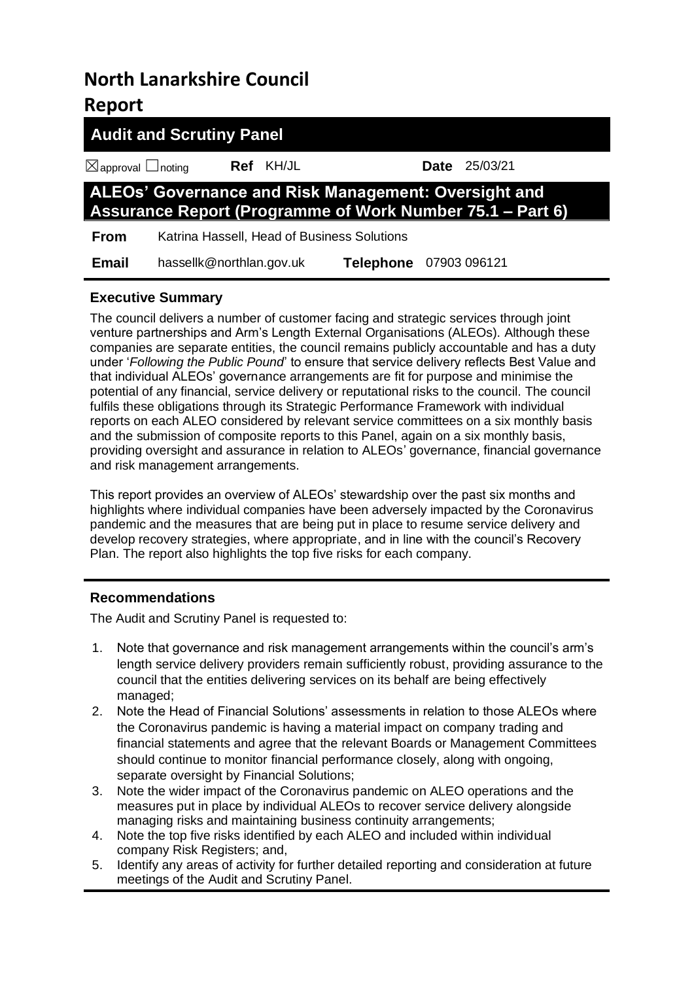# **North Lanarkshire Council Report**

|                                    | <b>Audit and Scrutiny Panel</b>                                                                                          |                  |                        |  |                      |  |
|------------------------------------|--------------------------------------------------------------------------------------------------------------------------|------------------|------------------------|--|----------------------|--|
| $\boxtimes$ approval $\Box$ noting |                                                                                                                          | <b>Ref</b> KH/JL |                        |  | <b>Date</b> 25/03/21 |  |
|                                    | ALEOs' Governance and Risk Management: Oversight and<br><b>Assurance Report (Programme of Work Number 75.1 – Part 6)</b> |                  |                        |  |                      |  |
| <b>From</b>                        | Katrina Hassell, Head of Business Solutions                                                                              |                  |                        |  |                      |  |
| <b>Email</b>                       | hassellk@northlan.gov.uk                                                                                                 |                  | Telephone 07903 096121 |  |                      |  |

# **Executive Summary**

The council delivers a number of customer facing and strategic services through joint venture partnerships and Arm's Length External Organisations (ALEOs). Although these companies are separate entities, the council remains publicly accountable and has a duty under '*Following the Public Pound*' to ensure that service delivery reflects Best Value and that individual ALEOs' governance arrangements are fit for purpose and minimise the potential of any financial, service delivery or reputational risks to the council. The council fulfils these obligations through its Strategic Performance Framework with individual reports on each ALEO considered by relevant service committees on a six monthly basis and the submission of composite reports to this Panel, again on a six monthly basis, providing oversight and assurance in relation to ALEOs' governance, financial governance and risk management arrangements.

This report provides an overview of ALEOs' stewardship over the past six months and highlights where individual companies have been adversely impacted by the Coronavirus pandemic and the measures that are being put in place to resume service delivery and develop recovery strategies, where appropriate, and in line with the council's Recovery Plan. The report also highlights the top five risks for each company.

# **Recommendations**

The Audit and Scrutiny Panel is requested to:

- 1. Note that governance and risk management arrangements within the council's arm's length service delivery providers remain sufficiently robust, providing assurance to the council that the entities delivering services on its behalf are being effectively managed;
- 2. Note the Head of Financial Solutions' assessments in relation to those ALEOs where the Coronavirus pandemic is having a material impact on company trading and financial statements and agree that the relevant Boards or Management Committees should continue to monitor financial performance closely, along with ongoing, separate oversight by Financial Solutions;
- 3. Note the wider impact of the Coronavirus pandemic on ALEO operations and the measures put in place by individual ALEOs to recover service delivery alongside managing risks and maintaining business continuity arrangements;
- 4. Note the top five risks identified by each ALEO and included within individual company Risk Registers; and,
- 5. Identify any areas of activity for further detailed reporting and consideration at future meetings of the Audit and Scrutiny Panel.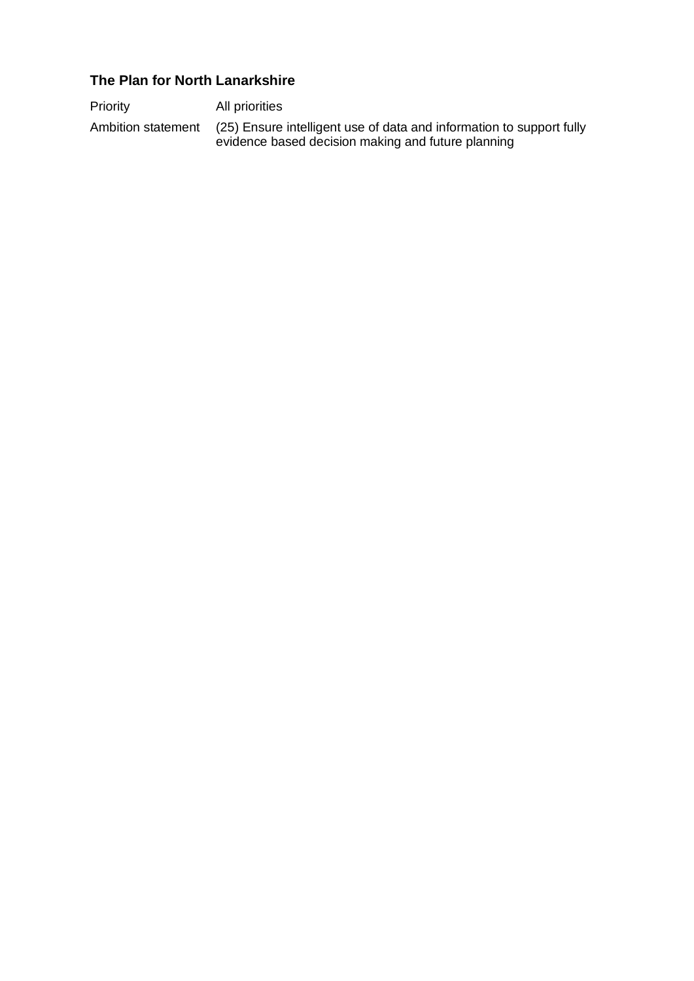# **The Plan for North Lanarkshire**

| Priority           | All priorities                                                                                                             |
|--------------------|----------------------------------------------------------------------------------------------------------------------------|
| Ambition statement | (25) Ensure intelligent use of data and information to support fully<br>evidence based decision making and future planning |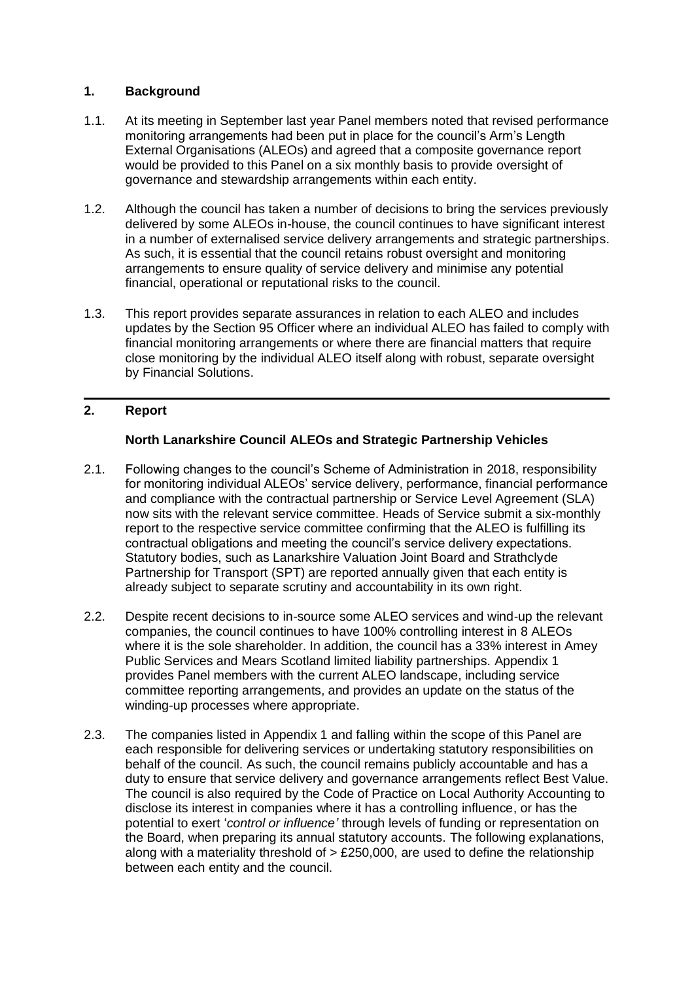#### **1. Background**

- 1.1. At its meeting in September last year Panel members noted that revised performance monitoring arrangements had been put in place for the council's Arm's Length External Organisations (ALEOs) and agreed that a composite governance report would be provided to this Panel on a six monthly basis to provide oversight of governance and stewardship arrangements within each entity.
- 1.2. Although the council has taken a number of decisions to bring the services previously delivered by some ALEOs in-house, the council continues to have significant interest in a number of externalised service delivery arrangements and strategic partnerships. As such, it is essential that the council retains robust oversight and monitoring arrangements to ensure quality of service delivery and minimise any potential financial, operational or reputational risks to the council.
- 1.3. This report provides separate assurances in relation to each ALEO and includes updates by the Section 95 Officer where an individual ALEO has failed to comply with financial monitoring arrangements or where there are financial matters that require close monitoring by the individual ALEO itself along with robust, separate oversight by Financial Solutions.

#### **2. Report**

## **North Lanarkshire Council ALEOs and Strategic Partnership Vehicles**

- 2.1. Following changes to the council's Scheme of Administration in 2018, responsibility for monitoring individual ALEOs' service delivery, performance, financial performance and compliance with the contractual partnership or Service Level Agreement (SLA) now sits with the relevant service committee. Heads of Service submit a six-monthly report to the respective service committee confirming that the ALEO is fulfilling its contractual obligations and meeting the council's service delivery expectations. Statutory bodies, such as Lanarkshire Valuation Joint Board and Strathclyde Partnership for Transport (SPT) are reported annually given that each entity is already subject to separate scrutiny and accountability in its own right.
- 2.2. Despite recent decisions to in-source some ALEO services and wind-up the relevant companies, the council continues to have 100% controlling interest in 8 ALEOs where it is the sole shareholder. In addition, the council has a 33% interest in Amey Public Services and Mears Scotland limited liability partnerships. Appendix 1 provides Panel members with the current ALEO landscape, including service committee reporting arrangements, and provides an update on the status of the winding-up processes where appropriate.
- 2.3. The companies listed in Appendix 1 and falling within the scope of this Panel are each responsible for delivering services or undertaking statutory responsibilities on behalf of the council. As such, the council remains publicly accountable and has a duty to ensure that service delivery and governance arrangements reflect Best Value. The council is also required by the Code of Practice on Local Authority Accounting to disclose its interest in companies where it has a controlling influence, or has the potential to exert '*control or influence'* through levels of funding or representation on the Board, when preparing its annual statutory accounts. The following explanations, along with a materiality threshold of > £250,000, are used to define the relationship between each entity and the council.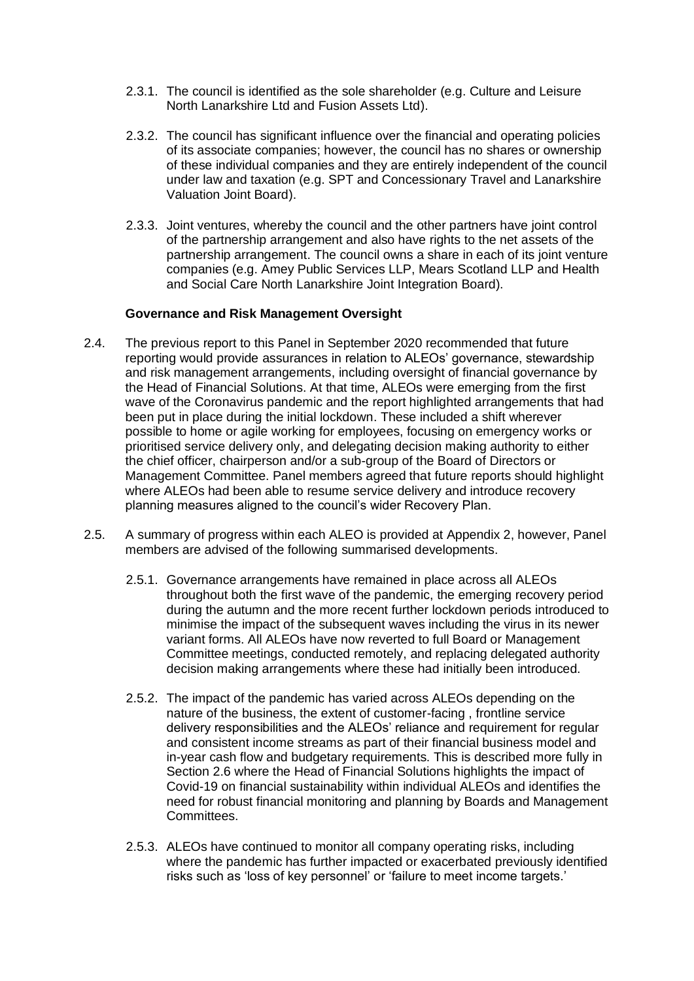- 2.3.1. The council is identified as the sole shareholder (e.g. Culture and Leisure North Lanarkshire Ltd and Fusion Assets Ltd).
- 2.3.2. The council has significant influence over the financial and operating policies of its associate companies; however, the council has no shares or ownership of these individual companies and they are entirely independent of the council under law and taxation (e.g. SPT and Concessionary Travel and Lanarkshire Valuation Joint Board).
- 2.3.3. Joint ventures, whereby the council and the other partners have joint control of the partnership arrangement and also have rights to the net assets of the partnership arrangement. The council owns a share in each of its joint venture companies (e.g. Amey Public Services LLP, Mears Scotland LLP and Health and Social Care North Lanarkshire Joint Integration Board).

#### **Governance and Risk Management Oversight**

- 2.4. The previous report to this Panel in September 2020 recommended that future reporting would provide assurances in relation to ALEOs' governance, stewardship and risk management arrangements, including oversight of financial governance by the Head of Financial Solutions. At that time, ALEOs were emerging from the first wave of the Coronavirus pandemic and the report highlighted arrangements that had been put in place during the initial lockdown. These included a shift wherever possible to home or agile working for employees, focusing on emergency works or prioritised service delivery only, and delegating decision making authority to either the chief officer, chairperson and/or a sub-group of the Board of Directors or Management Committee. Panel members agreed that future reports should highlight where ALEOs had been able to resume service delivery and introduce recovery planning measures aligned to the council's wider Recovery Plan.
- 2.5. A summary of progress within each ALEO is provided at Appendix 2, however, Panel members are advised of the following summarised developments.
	- 2.5.1. Governance arrangements have remained in place across all ALEOs throughout both the first wave of the pandemic, the emerging recovery period during the autumn and the more recent further lockdown periods introduced to minimise the impact of the subsequent waves including the virus in its newer variant forms. All ALEOs have now reverted to full Board or Management Committee meetings, conducted remotely, and replacing delegated authority decision making arrangements where these had initially been introduced.
	- 2.5.2. The impact of the pandemic has varied across ALEOs depending on the nature of the business, the extent of customer-facing , frontline service delivery responsibilities and the ALEOs' reliance and requirement for regular and consistent income streams as part of their financial business model and in-year cash flow and budgetary requirements. This is described more fully in Section 2.6 where the Head of Financial Solutions highlights the impact of Covid-19 on financial sustainability within individual ALEOs and identifies the need for robust financial monitoring and planning by Boards and Management Committees.
	- 2.5.3. ALEOs have continued to monitor all company operating risks, including where the pandemic has further impacted or exacerbated previously identified risks such as 'loss of key personnel' or 'failure to meet income targets.'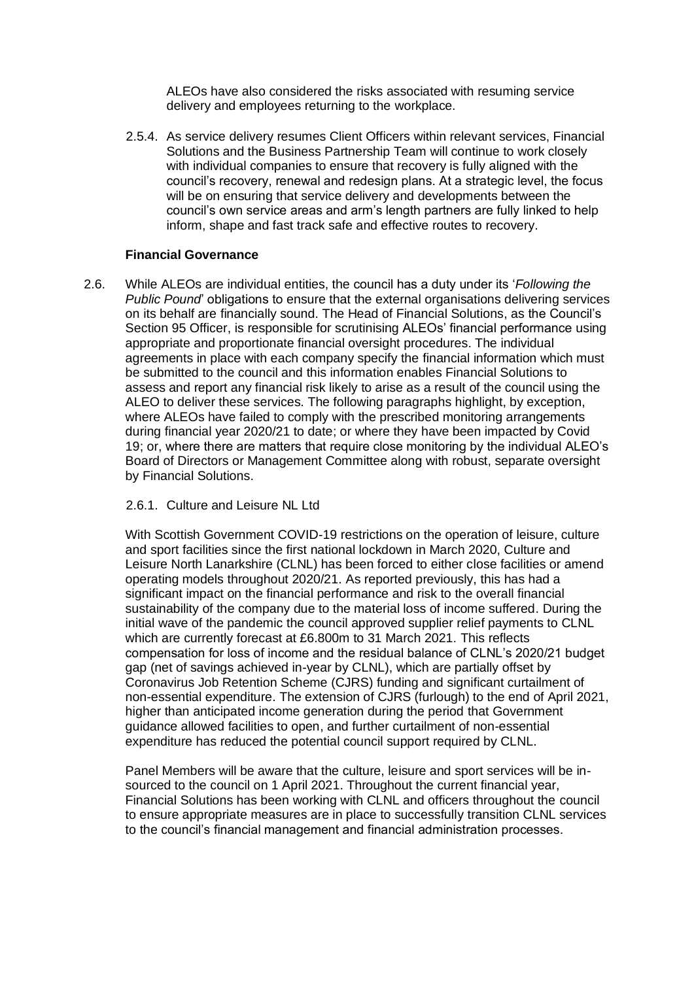ALEOs have also considered the risks associated with resuming service delivery and employees returning to the workplace.

2.5.4. As service delivery resumes Client Officers within relevant services, Financial Solutions and the Business Partnership Team will continue to work closely with individual companies to ensure that recovery is fully aligned with the council's recovery, renewal and redesign plans. At a strategic level, the focus will be on ensuring that service delivery and developments between the council's own service areas and arm's length partners are fully linked to help inform, shape and fast track safe and effective routes to recovery.

#### **Financial Governance**

2.6. While ALEOs are individual entities, the council has a duty under its '*Following the Public Pound*' obligations to ensure that the external organisations delivering services on its behalf are financially sound. The Head of Financial Solutions, as the Council's Section 95 Officer, is responsible for scrutinising ALEOs' financial performance using appropriate and proportionate financial oversight procedures. The individual agreements in place with each company specify the financial information which must be submitted to the council and this information enables Financial Solutions to assess and report any financial risk likely to arise as a result of the council using the ALEO to deliver these services. The following paragraphs highlight, by exception, where ALEOs have failed to comply with the prescribed monitoring arrangements during financial year 2020/21 to date; or where they have been impacted by Covid 19; or, where there are matters that require close monitoring by the individual ALEO's Board of Directors or Management Committee along with robust, separate oversight by Financial Solutions.

#### 2.6.1. Culture and Leisure NL Ltd

With Scottish Government COVID-19 restrictions on the operation of leisure, culture and sport facilities since the first national lockdown in March 2020, Culture and Leisure North Lanarkshire (CLNL) has been forced to either close facilities or amend operating models throughout 2020/21. As reported previously, this has had a significant impact on the financial performance and risk to the overall financial sustainability of the company due to the material loss of income suffered. During the initial wave of the pandemic the council approved supplier relief payments to CLNL which are currently forecast at £6.800m to 31 March 2021. This reflects compensation for loss of income and the residual balance of CLNL's 2020/21 budget gap (net of savings achieved in-year by CLNL), which are partially offset by Coronavirus Job Retention Scheme (CJRS) funding and significant curtailment of non-essential expenditure. The extension of CJRS (furlough) to the end of April 2021, higher than anticipated income generation during the period that Government guidance allowed facilities to open, and further curtailment of non-essential expenditure has reduced the potential council support required by CLNL.

Panel Members will be aware that the culture, leisure and sport services will be insourced to the council on 1 April 2021. Throughout the current financial year, Financial Solutions has been working with CLNL and officers throughout the council to ensure appropriate measures are in place to successfully transition CLNL services to the council's financial management and financial administration processes.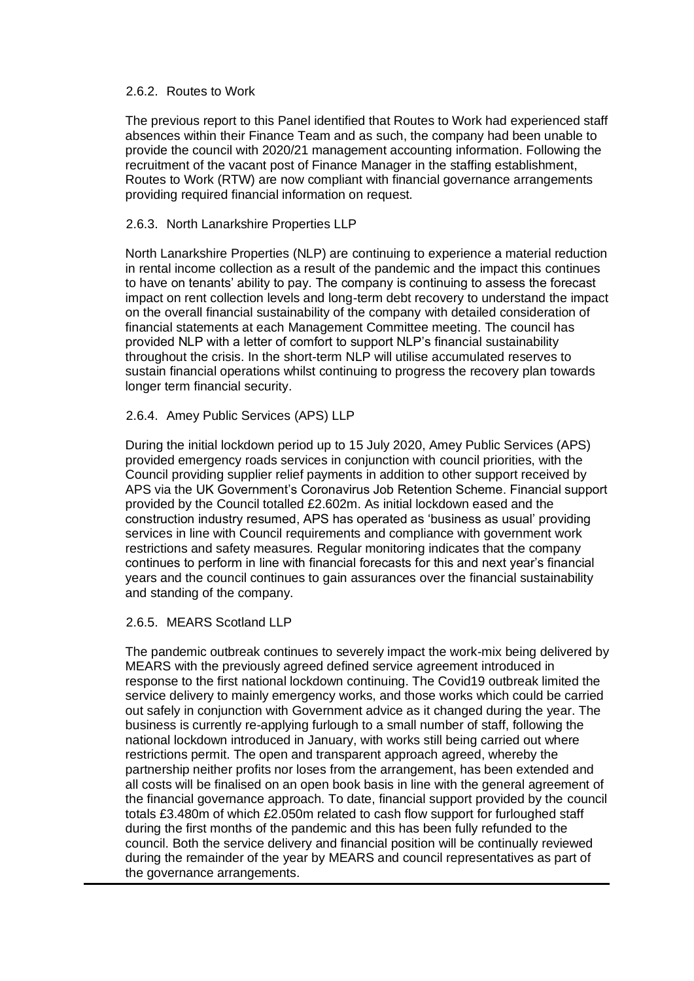#### 2.6.2. Routes to Work

The previous report to this Panel identified that Routes to Work had experienced staff absences within their Finance Team and as such, the company had been unable to provide the council with 2020/21 management accounting information. Following the recruitment of the vacant post of Finance Manager in the staffing establishment, Routes to Work (RTW) are now compliant with financial governance arrangements providing required financial information on request.

#### 2.6.3. North Lanarkshire Properties LLP

North Lanarkshire Properties (NLP) are continuing to experience a material reduction in rental income collection as a result of the pandemic and the impact this continues to have on tenants' ability to pay. The company is continuing to assess the forecast impact on rent collection levels and long-term debt recovery to understand the impact on the overall financial sustainability of the company with detailed consideration of financial statements at each Management Committee meeting. The council has provided NLP with a letter of comfort to support NLP's financial sustainability throughout the crisis. In the short-term NLP will utilise accumulated reserves to sustain financial operations whilst continuing to progress the recovery plan towards longer term financial security.

#### 2.6.4. Amey Public Services (APS) LLP

During the initial lockdown period up to 15 July 2020, Amey Public Services (APS) provided emergency roads services in conjunction with council priorities, with the Council providing supplier relief payments in addition to other support received by APS via the UK Government's Coronavirus Job Retention Scheme. Financial support provided by the Council totalled £2.602m. As initial lockdown eased and the construction industry resumed, APS has operated as 'business as usual' providing services in line with Council requirements and compliance with government work restrictions and safety measures. Regular monitoring indicates that the company continues to perform in line with financial forecasts for this and next year's financial years and the council continues to gain assurances over the financial sustainability and standing of the company.

#### 2.6.5. MEARS Scotland LLP

The pandemic outbreak continues to severely impact the work-mix being delivered by MEARS with the previously agreed defined service agreement introduced in response to the first national lockdown continuing. The Covid19 outbreak limited the service delivery to mainly emergency works, and those works which could be carried out safely in conjunction with Government advice as it changed during the year. The business is currently re-applying furlough to a small number of staff, following the national lockdown introduced in January, with works still being carried out where restrictions permit. The open and transparent approach agreed, whereby the partnership neither profits nor loses from the arrangement, has been extended and all costs will be finalised on an open book basis in line with the general agreement of the financial governance approach. To date, financial support provided by the council totals £3.480m of which £2.050m related to cash flow support for furloughed staff during the first months of the pandemic and this has been fully refunded to the council. Both the service delivery and financial position will be continually reviewed during the remainder of the year by MEARS and council representatives as part of the governance arrangements.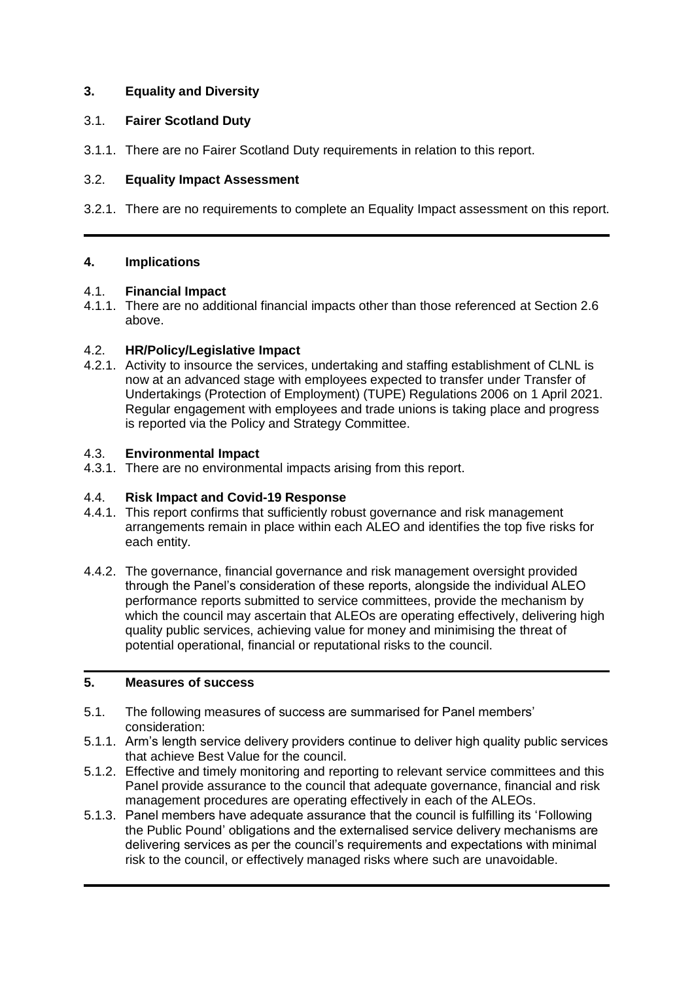## **3. Equality and Diversity**

#### 3.1. **Fairer Scotland Duty**

3.1.1. There are no Fairer Scotland Duty requirements in relation to this report.

#### 3.2. **Equality Impact Assessment**

3.2.1. There are no requirements to complete an Equality Impact assessment on this report.

#### **4. Implications**

#### 4.1. **Financial Impact**

4.1.1. There are no additional financial impacts other than those referenced at Section 2.6 above.

#### 4.2. **HR/Policy/Legislative Impact**

4.2.1. Activity to insource the services, undertaking and staffing establishment of CLNL is now at an advanced stage with employees expected to transfer under Transfer of Undertakings (Protection of Employment) (TUPE) Regulations 2006 on 1 April 2021. Regular engagement with employees and trade unions is taking place and progress is reported via the Policy and Strategy Committee.

#### 4.3. **Environmental Impact**

4.3.1. There are no environmental impacts arising from this report.

#### 4.4. **Risk Impact and Covid-19 Response**

- 4.4.1. This report confirms that sufficiently robust governance and risk management arrangements remain in place within each ALEO and identifies the top five risks for each entity.
- 4.4.2. The governance, financial governance and risk management oversight provided through the Panel's consideration of these reports, alongside the individual ALEO performance reports submitted to service committees, provide the mechanism by which the council may ascertain that ALEOs are operating effectively, delivering high quality public services, achieving value for money and minimising the threat of potential operational, financial or reputational risks to the council.

#### **5. Measures of success**

- 5.1. The following measures of success are summarised for Panel members' consideration:
- 5.1.1. Arm's length service delivery providers continue to deliver high quality public services that achieve Best Value for the council.
- 5.1.2. Effective and timely monitoring and reporting to relevant service committees and this Panel provide assurance to the council that adequate governance, financial and risk management procedures are operating effectively in each of the ALEOs.
- 5.1.3. Panel members have adequate assurance that the council is fulfilling its 'Following the Public Pound' obligations and the externalised service delivery mechanisms are delivering services as per the council's requirements and expectations with minimal risk to the council, or effectively managed risks where such are unavoidable.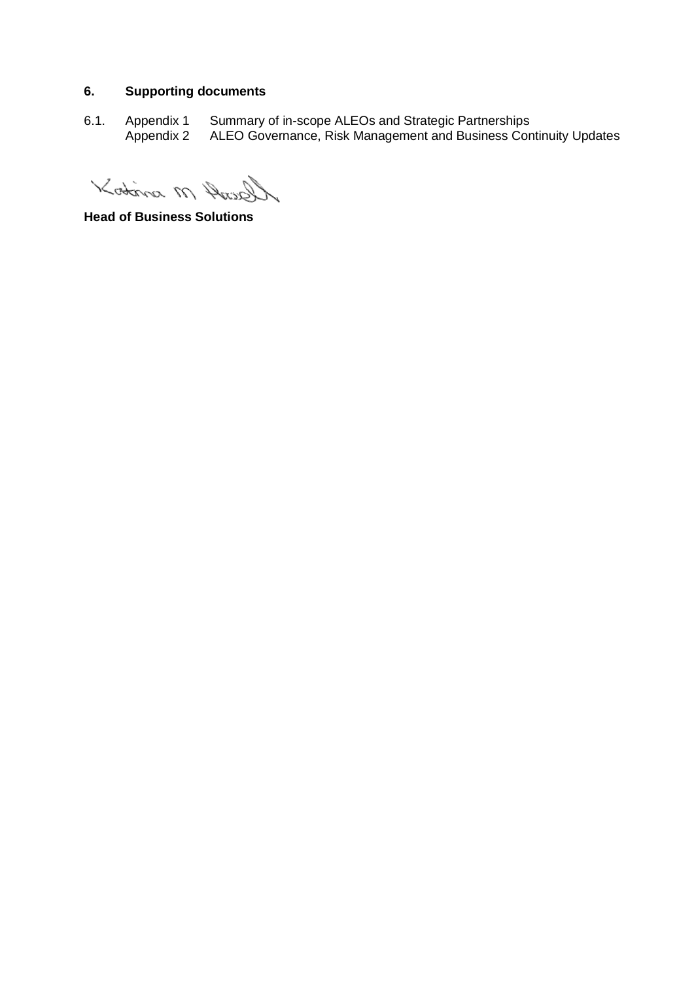# **6. Supporting documents**

6.1. Appendix 1 Summary of in-scope ALEOs and Strategic Partnerships Appendix 2 ALEO Governance, Risk Management and Business Continuity Updates

Kostina M Ansel

**Head of Business Solutions**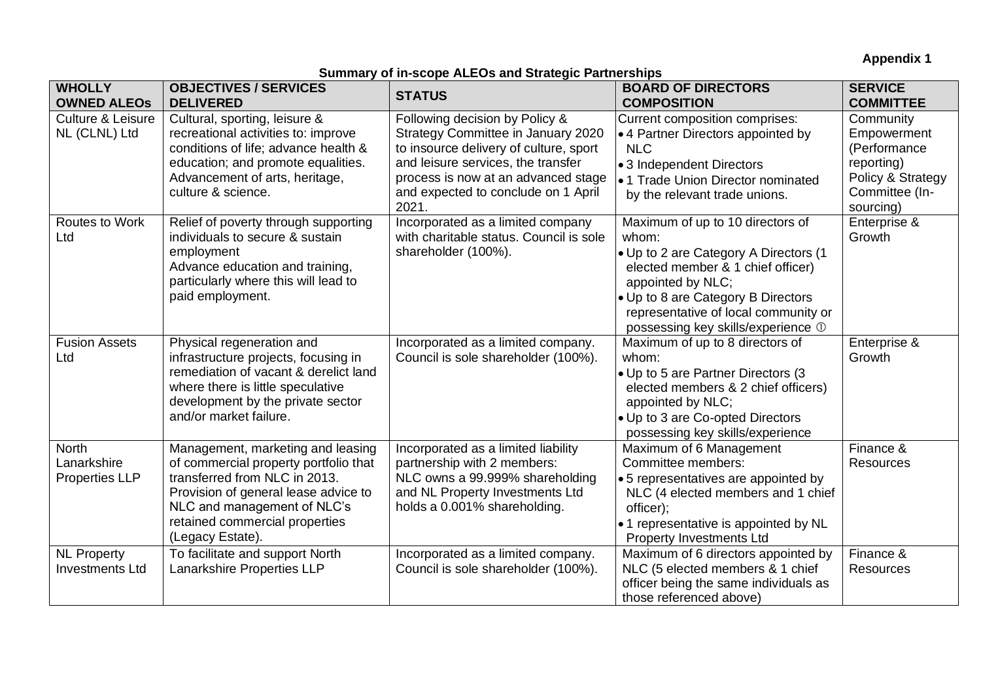**Appendix 1**

## **Summary of in-scope ALEOs and Strategic Partnerships**

| <b>WHOLLY</b><br><b>OWNED ALEOS</b>                  | <b>OBJECTIVES / SERVICES</b><br><b>DELIVERED</b>                                                                                                                                                                                         | <b>STATUS</b>                                                                                                                                                                                                                               | <b>BOARD OF DIRECTORS</b><br><b>COMPOSITION</b>                                                                                                                                                                                                                  | <b>SERVICE</b><br><b>COMMITTEE</b>                                                                         |
|------------------------------------------------------|------------------------------------------------------------------------------------------------------------------------------------------------------------------------------------------------------------------------------------------|---------------------------------------------------------------------------------------------------------------------------------------------------------------------------------------------------------------------------------------------|------------------------------------------------------------------------------------------------------------------------------------------------------------------------------------------------------------------------------------------------------------------|------------------------------------------------------------------------------------------------------------|
| Culture & Leisure<br>NL (CLNL) Ltd                   | Cultural, sporting, leisure &<br>recreational activities to: improve<br>conditions of life; advance health &<br>education; and promote equalities.<br>Advancement of arts, heritage,<br>culture & science.                               | Following decision by Policy &<br>Strategy Committee in January 2020<br>to insource delivery of culture, sport<br>and leisure services, the transfer<br>process is now at an advanced stage<br>and expected to conclude on 1 April<br>2021. | Current composition comprises:<br>• 4 Partner Directors appointed by<br><b>NLC</b><br>• 3 Independent Directors<br>• 1 Trade Union Director nominated<br>by the relevant trade unions.                                                                           | Community<br>Empowerment<br>(Performance<br>reporting)<br>Policy & Strategy<br>Committee (In-<br>sourcing) |
| Routes to Work<br>Ltd                                | Relief of poverty through supporting<br>individuals to secure & sustain<br>employment<br>Advance education and training,<br>particularly where this will lead to<br>paid employment.                                                     | Incorporated as a limited company<br>with charitable status. Council is sole<br>shareholder (100%).                                                                                                                                         | Maximum of up to 10 directors of<br>whom:<br>. Up to 2 are Category A Directors (1<br>elected member & 1 chief officer)<br>appointed by NLC;<br>• Up to 8 are Category B Directors<br>representative of local community or<br>possessing key skills/experience 1 | Enterprise &<br>Growth                                                                                     |
| <b>Fusion Assets</b><br>Ltd                          | Physical regeneration and<br>infrastructure projects, focusing in<br>remediation of vacant & derelict land<br>where there is little speculative<br>development by the private sector<br>and/or market failure.                           | Incorporated as a limited company.<br>Council is sole shareholder (100%).                                                                                                                                                                   | Maximum of up to 8 directors of<br>whom:<br>• Up to 5 are Partner Directors (3<br>elected members & 2 chief officers)<br>appointed by NLC;<br>• Up to 3 are Co-opted Directors<br>possessing key skills/experience                                               | Enterprise &<br>Growth                                                                                     |
| <b>North</b><br>Lanarkshire<br><b>Properties LLP</b> | Management, marketing and leasing<br>of commercial property portfolio that<br>transferred from NLC in 2013.<br>Provision of general lease advice to<br>NLC and management of NLC's<br>retained commercial properties<br>(Legacy Estate). | Incorporated as a limited liability<br>partnership with 2 members:<br>NLC owns a 99.999% shareholding<br>and NL Property Investments Ltd<br>holds a 0.001% shareholding.                                                                    | Maximum of 6 Management<br>Committee members:<br>• 5 representatives are appointed by<br>NLC (4 elected members and 1 chief<br>officer);<br>• 1 representative is appointed by NL<br><b>Property Investments Ltd</b>                                             | Finance &<br><b>Resources</b>                                                                              |
| <b>NL Property</b><br><b>Investments Ltd</b>         | To facilitate and support North<br>Lanarkshire Properties LLP                                                                                                                                                                            | Incorporated as a limited company.<br>Council is sole shareholder (100%).                                                                                                                                                                   | Maximum of 6 directors appointed by<br>NLC (5 elected members & 1 chief<br>officer being the same individuals as<br>those referenced above)                                                                                                                      | Finance &<br>Resources                                                                                     |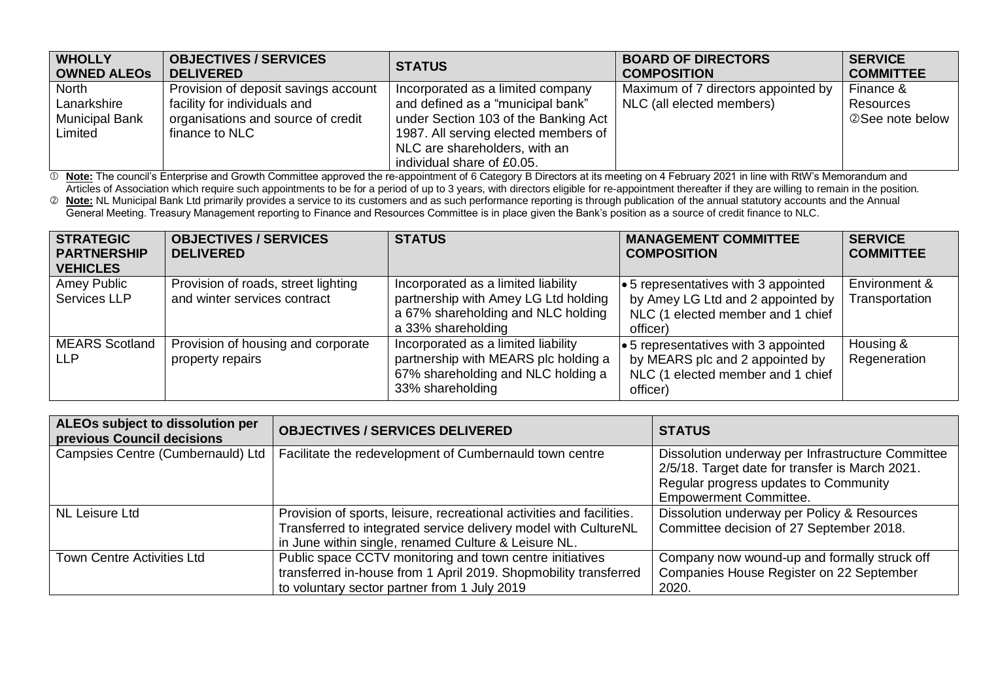| <b>WHOLLY</b>         | <b>OBJECTIVES / SERVICES</b>         | <b>STATUS</b>                        | <b>BOARD OF DIRECTORS</b>           | <b>SERVICE</b>   |
|-----------------------|--------------------------------------|--------------------------------------|-------------------------------------|------------------|
| <b>OWNED ALEOS</b>    | <b>DELIVERED</b>                     |                                      | <b>COMPOSITION</b>                  | <b>COMMITTEE</b> |
| North                 | Provision of deposit savings account | Incorporated as a limited company    | Maximum of 7 directors appointed by | Finance &        |
| Lanarkshire           | facility for individuals and         | and defined as a "municipal bank"    | NLC (all elected members)           | Resources        |
| <b>Municipal Bank</b> | organisations and source of credit   | under Section 103 of the Banking Act |                                     | 2 See note below |
| Limited               | finance to NLC                       | 1987. All serving elected members of |                                     |                  |
|                       |                                      | NLC are shareholders, with an        |                                     |                  |
|                       |                                      | individual share of £0.05.           |                                     |                  |

 $\mathbb O$  **Note:** The council's Enterprise and Growth Committee approved the re-appointment of 6 Category B Directors at its meeting on 4 February 2021 in line with RtW's Memorandum and Articles of Association which require such appointments to be for a period of up to 3 years, with directors eligible for re-appointment thereafter if they are willing to remain in the position.

 **Note:** NL Municipal Bank Ltd primarily provides a service to its customers and as such performance reporting is through publication of the annual statutory accounts and the Annual General Meeting. Treasury Management reporting to Finance and Resources Committee is in place given the Bank's position as a source of credit finance to NLC.

| <b>STRATEGIC</b><br><b>PARTNERSHIP</b><br><b>VEHICLES</b> | <b>OBJECTIVES / SERVICES</b><br><b>DELIVERED</b>                    | <b>STATUS</b>                                                                                                                           | <b>MANAGEMENT COMMITTEE</b><br><b>COMPOSITION</b>                                                                                  | <b>SERVICE</b><br><b>COMMITTEE</b> |
|-----------------------------------------------------------|---------------------------------------------------------------------|-----------------------------------------------------------------------------------------------------------------------------------------|------------------------------------------------------------------------------------------------------------------------------------|------------------------------------|
| Amey Public<br>Services LLP                               | Provision of roads, street lighting<br>and winter services contract | Incorporated as a limited liability<br>partnership with Amey LG Ltd holding<br>a 67% shareholding and NLC holding<br>a 33% shareholding | $\bullet$ 5 representatives with 3 appointed<br>by Amey LG Ltd and 2 appointed by<br>NLC (1 elected member and 1 chief<br>officer) | Environment &<br>Transportation    |
| <b>MEARS</b> Scotland<br>LLP                              | Provision of housing and corporate<br>property repairs              | Incorporated as a limited liability<br>partnership with MEARS plc holding a<br>67% shareholding and NLC holding a<br>33% shareholding   | $\bullet$ 5 representatives with 3 appointed<br>by MEARS plc and 2 appointed by<br>NLC (1 elected member and 1 chief<br>officer)   | Housing &<br>Regeneration          |

| ALEOs subject to dissolution per<br>previous Council decisions | <b>OBJECTIVES / SERVICES DELIVERED</b>                                | <b>STATUS</b>                                     |
|----------------------------------------------------------------|-----------------------------------------------------------------------|---------------------------------------------------|
| Campsies Centre (Cumbernauld) Ltd                              | Facilitate the redevelopment of Cumbernauld town centre               | Dissolution underway per Infrastructure Committee |
|                                                                |                                                                       | 2/5/18. Target date for transfer is March 2021.   |
|                                                                |                                                                       | Regular progress updates to Community             |
|                                                                |                                                                       | <b>Empowerment Committee.</b>                     |
| NL Leisure Ltd                                                 | Provision of sports, leisure, recreational activities and facilities. | Dissolution underway per Policy & Resources       |
|                                                                | Transferred to integrated service delivery model with CultureNL       | Committee decision of 27 September 2018.          |
|                                                                | in June within single, renamed Culture & Leisure NL.                  |                                                   |
| <b>Town Centre Activities Ltd</b>                              | Public space CCTV monitoring and town centre initiatives              | Company now wound-up and formally struck off      |
|                                                                | transferred in-house from 1 April 2019. Shopmobility transferred      | Companies House Register on 22 September          |
|                                                                | to voluntary sector partner from 1 July 2019                          | 2020.                                             |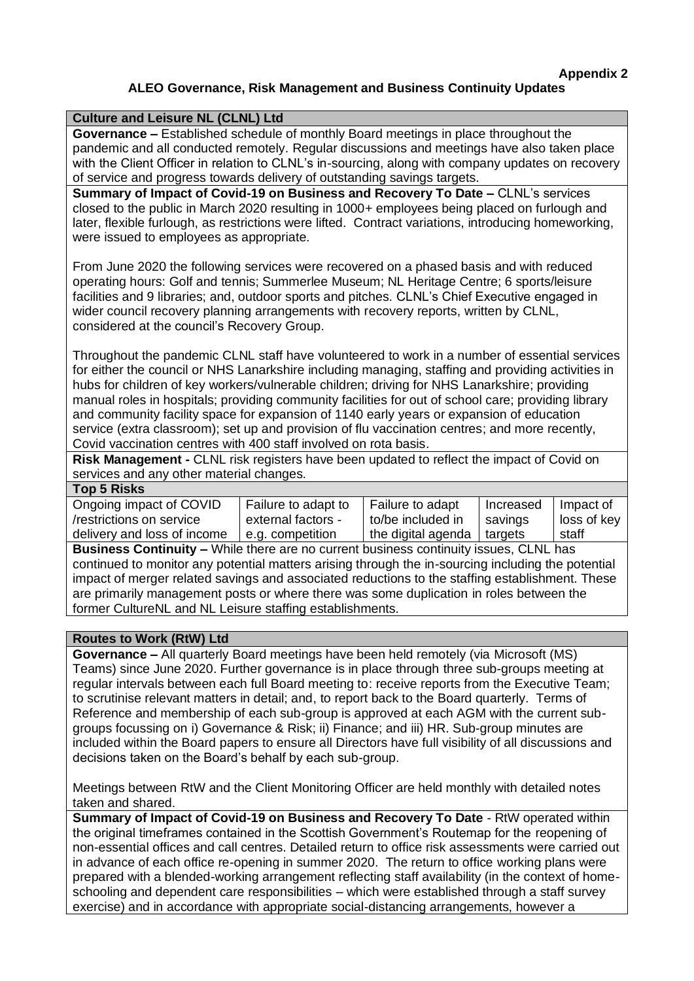#### **ALEO Governance, Risk Management and Business Continuity Updates**

#### **Culture and Leisure NL (CLNL) Ltd Governance –** Established schedule of monthly Board meetings in place throughout the pandemic and all conducted remotely. Regular discussions and meetings have also taken place with the Client Officer in relation to CLNL's in-sourcing, along with company updates on recovery of service and progress towards delivery of outstanding savings targets.

**Summary of Impact of Covid-19 on Business and Recovery To Date –** CLNL's services closed to the public in March 2020 resulting in 1000+ employees being placed on furlough and later, flexible furlough, as restrictions were lifted. Contract variations, introducing homeworking, were issued to employees as appropriate.

From June 2020 the following services were recovered on a phased basis and with reduced operating hours: Golf and tennis; Summerlee Museum; NL Heritage Centre; 6 sports/leisure facilities and 9 libraries; and, outdoor sports and pitches. CLNL's Chief Executive engaged in wider council recovery planning arrangements with recovery reports, written by CLNL, considered at the council's Recovery Group.

Throughout the pandemic CLNL staff have volunteered to work in a number of essential services for either the council or NHS Lanarkshire including managing, staffing and providing activities in hubs for children of key workers/vulnerable children; driving for NHS Lanarkshire; providing manual roles in hospitals; providing community facilities for out of school care; providing library and community facility space for expansion of 1140 early years or expansion of education service (extra classroom); set up and provision of flu vaccination centres; and more recently, Covid vaccination centres with 400 staff involved on rota basis.

**Risk Management -** CLNL risk registers have been updated to reflect the impact of Covid on services and any other material changes.

| Top 5 Risks                 |                     |                    |           |             |
|-----------------------------|---------------------|--------------------|-----------|-------------|
| Ongoing impact of COVID     | Failure to adapt to | Failure to adapt   | Increased | Impact of   |
| /restrictions on service    | external factors -  | to/be included in  | savings   | loss of key |
| delivery and loss of income | e.g. competition    | the digital agenda | targets   | staff       |
|                             |                     |                    |           |             |

**Business Continuity –** While there are no current business continuity issues, CLNL has continued to monitor any potential matters arising through the in-sourcing including the potential impact of merger related savings and associated reductions to the staffing establishment. These are primarily management posts or where there was some duplication in roles between the former CultureNL and NL Leisure staffing establishments.

#### **Routes to Work (RtW) Ltd**

**Governance –** All quarterly Board meetings have been held remotely (via Microsoft (MS) Teams) since June 2020. Further governance is in place through three sub-groups meeting at regular intervals between each full Board meeting to: receive reports from the Executive Team; to scrutinise relevant matters in detail; and, to report back to the Board quarterly. Terms of Reference and membership of each sub-group is approved at each AGM with the current subgroups focussing on i) Governance & Risk; ii) Finance; and iii) HR. Sub-group minutes are included within the Board papers to ensure all Directors have full visibility of all discussions and decisions taken on the Board's behalf by each sub-group.

Meetings between RtW and the Client Monitoring Officer are held monthly with detailed notes taken and shared.

**Summary of Impact of Covid-19 on Business and Recovery To Date** - RtW operated within the original timeframes contained in the Scottish Government's Routemap for the reopening of non-essential offices and call centres. Detailed return to office risk assessments were carried out in advance of each office re-opening in summer 2020. The return to office working plans were prepared with a blended-working arrangement reflecting staff availability (in the context of homeschooling and dependent care responsibilities – which were established through a staff survey exercise) and in accordance with appropriate social-distancing arrangements, however a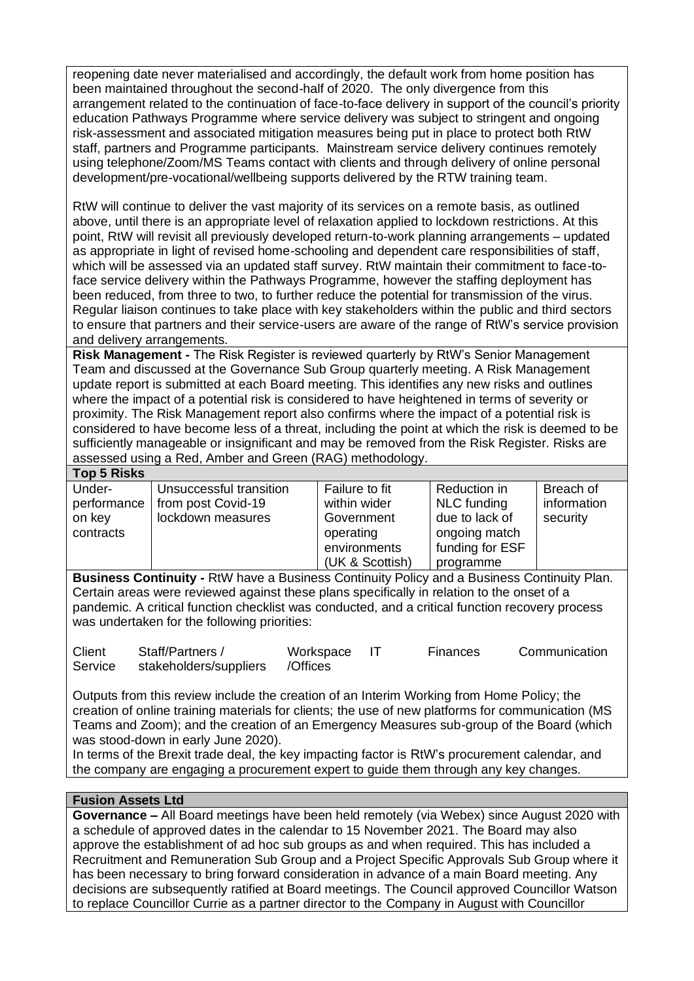reopening date never materialised and accordingly, the default work from home position has been maintained throughout the second-half of 2020. The only divergence from this arrangement related to the continuation of face-to-face delivery in support of the council's priority education Pathways Programme where service delivery was subject to stringent and ongoing risk-assessment and associated mitigation measures being put in place to protect both RtW staff, partners and Programme participants. Mainstream service delivery continues remotely using telephone/Zoom/MS Teams contact with clients and through delivery of online personal development/pre-vocational/wellbeing supports delivered by the RTW training team.

RtW will continue to deliver the vast majority of its services on a remote basis, as outlined above, until there is an appropriate level of relaxation applied to lockdown restrictions. At this point, RtW will revisit all previously developed return-to-work planning arrangements – updated as appropriate in light of revised home-schooling and dependent care responsibilities of staff, which will be assessed via an updated staff survey. RtW maintain their commitment to face-toface service delivery within the Pathways Programme, however the staffing deployment has been reduced, from three to two, to further reduce the potential for transmission of the virus. Regular liaison continues to take place with key stakeholders within the public and third sectors to ensure that partners and their service-users are aware of the range of RtW's service provision and delivery arrangements.

**Risk Management -** The Risk Register is reviewed quarterly by RtW's Senior Management Team and discussed at the Governance Sub Group quarterly meeting. A Risk Management update report is submitted at each Board meeting. This identifies any new risks and outlines where the impact of a potential risk is considered to have heightened in terms of severity or proximity. The Risk Management report also confirms where the impact of a potential risk is considered to have become less of a threat, including the point at which the risk is deemed to be sufficiently manageable or insignificant and may be removed from the Risk Register. Risks are assessed using a Red, Amber and Green (RAG) methodology.

| <b>Top 5 Risks</b>                           |                                                                    |                                                                           |                                                                                   |                                      |
|----------------------------------------------|--------------------------------------------------------------------|---------------------------------------------------------------------------|-----------------------------------------------------------------------------------|--------------------------------------|
| Under-<br>performance<br>on key<br>contracts | Unsuccessful transition<br>from post Covid-19<br>lockdown measures | Failure to fit<br>within wider<br>Government<br>operating<br>environments | Reduction in<br>NLC funding<br>due to lack of<br>ongoing match<br>funding for ESF | Breach of<br>information<br>security |
|                                              |                                                                    | (UK & Scottish)                                                           | programme                                                                         |                                      |

**Business Continuity -** RtW have a Business Continuity Policy and a Business Continuity Plan. Certain areas were reviewed against these plans specifically in relation to the onset of a pandemic. A critical function checklist was conducted, and a critical function recovery process was undertaken for the following priorities:

| Client  | Staff/Partners /       | Workspace | Finances | Communication |
|---------|------------------------|-----------|----------|---------------|
| Service | stakeholders/suppliers | /Offices  |          |               |

Outputs from this review include the creation of an Interim Working from Home Policy; the creation of online training materials for clients; the use of new platforms for communication (MS Teams and Zoom); and the creation of an Emergency Measures sub-group of the Board (which was stood-down in early June 2020).

In terms of the Brexit trade deal, the key impacting factor is RtW's procurement calendar, and the company are engaging a procurement expert to guide them through any key changes.

#### **Fusion Assets Ltd**

**Governance –** All Board meetings have been held remotely (via Webex) since August 2020 with a schedule of approved dates in the calendar to 15 November 2021. The Board may also approve the establishment of ad hoc sub groups as and when required. This has included a Recruitment and Remuneration Sub Group and a Project Specific Approvals Sub Group where it has been necessary to bring forward consideration in advance of a main Board meeting. Any decisions are subsequently ratified at Board meetings. The Council approved Councillor Watson to replace Councillor Currie as a partner director to the Company in August with Councillor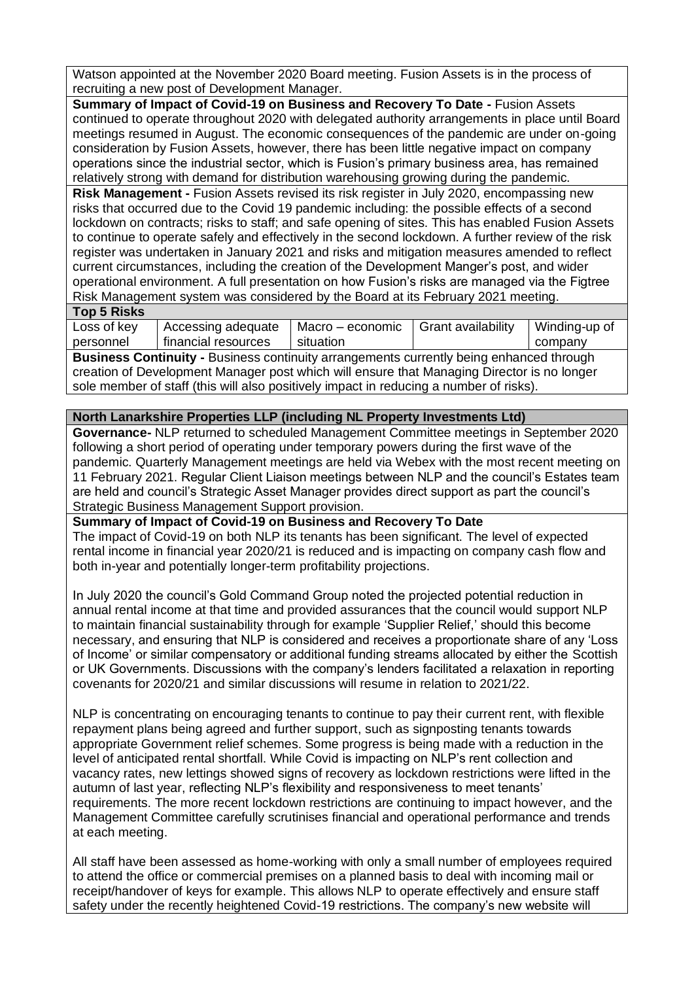Watson appointed at the November 2020 Board meeting. Fusion Assets is in the process of recruiting a new post of Development Manager.

**Summary of Impact of Covid-19 on Business and Recovery To Date -** Fusion Assets continued to operate throughout 2020 with delegated authority arrangements in place until Board meetings resumed in August. The economic consequences of the pandemic are under on-going consideration by Fusion Assets, however, there has been little negative impact on company operations since the industrial sector, which is Fusion's primary business area, has remained relatively strong with demand for distribution warehousing growing during the pandemic.

**Risk Management -** Fusion Assets revised its risk register in July 2020, encompassing new risks that occurred due to the Covid 19 pandemic including: the possible effects of a second lockdown on contracts; risks to staff; and safe opening of sites. This has enabled Fusion Assets to continue to operate safely and effectively in the second lockdown. A further review of the risk register was undertaken in January 2021 and risks and mitigation measures amended to reflect current circumstances, including the creation of the Development Manger's post, and wider operational environment. A full presentation on how Fusion's risks are managed via the Figtree Risk Management system was considered by the Board at its February 2021 meeting.

#### **Top 5 Risks**

| .           |                     |                  |                    |               |
|-------------|---------------------|------------------|--------------------|---------------|
| Loss of key | Accessing adequate  | Macro – economic | Grant availability | Winding-up of |
| personnel   | financial resources | situation        |                    | company       |
| $\sim$      |                     |                  |                    |               |

**Business Continuity -** Business continuity arrangements currently being enhanced through creation of Development Manager post which will ensure that Managing Director is no longer sole member of staff (this will also positively impact in reducing a number of risks).

#### **North Lanarkshire Properties LLP (including NL Property Investments Ltd)**

**Governance-** NLP returned to scheduled Management Committee meetings in September 2020 following a short period of operating under temporary powers during the first wave of the pandemic. Quarterly Management meetings are held via Webex with the most recent meeting on 11 February 2021. Regular Client Liaison meetings between NLP and the council's Estates team are held and council's Strategic Asset Manager provides direct support as part the council's Strategic Business Management Support provision.

#### **Summary of Impact of Covid-19 on Business and Recovery To Date**

The impact of Covid-19 on both NLP its tenants has been significant. The level of expected rental income in financial year 2020/21 is reduced and is impacting on company cash flow and both in-year and potentially longer-term profitability projections.

In July 2020 the council's Gold Command Group noted the projected potential reduction in annual rental income at that time and provided assurances that the council would support NLP to maintain financial sustainability through for example 'Supplier Relief,' should this become necessary, and ensuring that NLP is considered and receives a proportionate share of any 'Loss of Income' or similar compensatory or additional funding streams allocated by either the Scottish or UK Governments. Discussions with the company's lenders facilitated a relaxation in reporting covenants for 2020/21 and similar discussions will resume in relation to 2021/22.

NLP is concentrating on encouraging tenants to continue to pay their current rent, with flexible repayment plans being agreed and further support, such as signposting tenants towards appropriate Government relief schemes. Some progress is being made with a reduction in the level of anticipated rental shortfall. While Covid is impacting on NLP's rent collection and vacancy rates, new lettings showed signs of recovery as lockdown restrictions were lifted in the autumn of last year, reflecting NLP's flexibility and responsiveness to meet tenants' requirements. The more recent lockdown restrictions are continuing to impact however, and the Management Committee carefully scrutinises financial and operational performance and trends at each meeting.

All staff have been assessed as home-working with only a small number of employees required to attend the office or commercial premises on a planned basis to deal with incoming mail or receipt/handover of keys for example. This allows NLP to operate effectively and ensure staff safety under the recently heightened Covid-19 restrictions. The company's new website will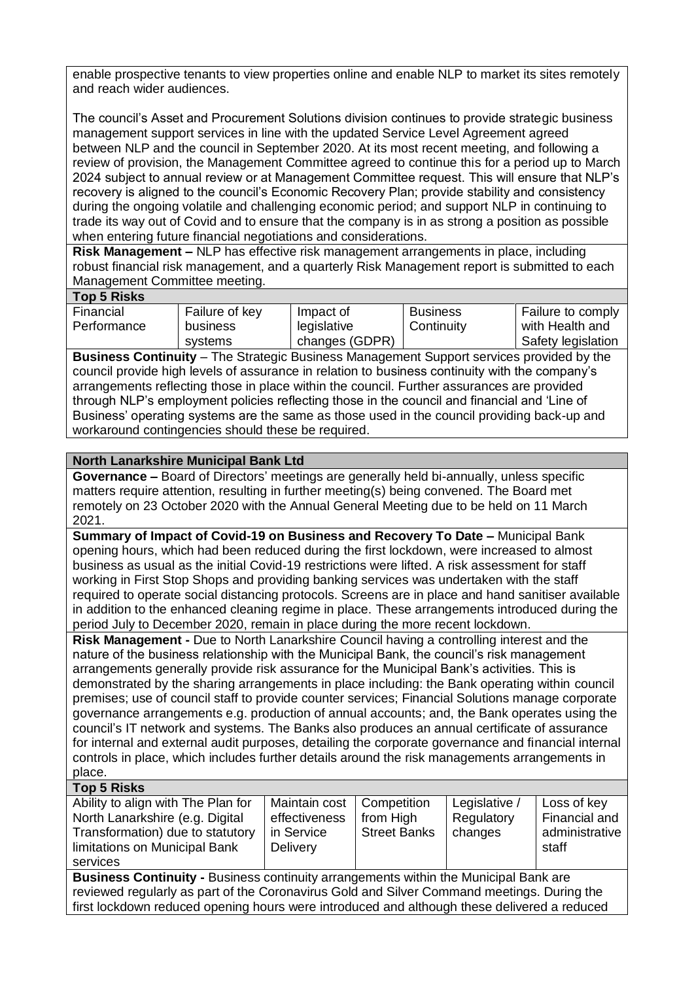enable prospective tenants to view properties online and enable NLP to market its sites remotely and reach wider audiences.

The council's Asset and Procurement Solutions division continues to provide strategic business management support services in line with the updated Service Level Agreement agreed between NLP and the council in September 2020. At its most recent meeting, and following a review of provision, the Management Committee agreed to continue this for a period up to March 2024 subject to annual review or at Management Committee request. This will ensure that NLP's recovery is aligned to the council's Economic Recovery Plan; provide stability and consistency during the ongoing volatile and challenging economic period; and support NLP in continuing to trade its way out of Covid and to ensure that the company is in as strong a position as possible when entering future financial negotiations and considerations.

**Risk Management –** NLP has effective risk management arrangements in place, including robust financial risk management, and a quarterly Risk Management report is submitted to each Management Committee meeting.

#### **Top 5 Risks**

| Financial   | Failure of key | Impact of      | <b>Business</b> | Failure to comply  |
|-------------|----------------|----------------|-----------------|--------------------|
| Performance | business       | legislative    | Continuity      | with Health and    |
|             | systems        | changes (GDPR) |                 | Safety legislation |

**Business Continuity** – The Strategic Business Management Support services provided by the council provide high levels of assurance in relation to business continuity with the company's arrangements reflecting those in place within the council. Further assurances are provided through NLP's employment policies reflecting those in the council and financial and 'Line of Business' operating systems are the same as those used in the council providing back-up and workaround contingencies should these be required.

#### **North Lanarkshire Municipal Bank Ltd**

**Governance –** Board of Directors' meetings are generally held bi-annually, unless specific matters require attention, resulting in further meeting(s) being convened. The Board met remotely on 23 October 2020 with the Annual General Meeting due to be held on 11 March 2021.

**Summary of Impact of Covid-19 on Business and Recovery To Date –** Municipal Bank opening hours, which had been reduced during the first lockdown, were increased to almost business as usual as the initial Covid-19 restrictions were lifted. A risk assessment for staff working in First Stop Shops and providing banking services was undertaken with the staff required to operate social distancing protocols. Screens are in place and hand sanitiser available in addition to the enhanced cleaning regime in place. These arrangements introduced during the period July to December 2020, remain in place during the more recent lockdown.

**Risk Management -** Due to North Lanarkshire Council having a controlling interest and the nature of the business relationship with the Municipal Bank, the council's risk management arrangements generally provide risk assurance for the Municipal Bank's activities. This is demonstrated by the sharing arrangements in place including: the Bank operating within council premises; use of council staff to provide counter services; Financial Solutions manage corporate governance arrangements e.g. production of annual accounts; and, the Bank operates using the council's IT network and systems. The Banks also produces an annual certificate of assurance for internal and external audit purposes, detailing the corporate governance and financial internal controls in place, which includes further details around the risk managements arrangements in place.

#### **Top 5 Risks**

| Ability to align with The Plan for                                                          | Maintain cost | Competition         | Legislative / | Loss of key    |  |
|---------------------------------------------------------------------------------------------|---------------|---------------------|---------------|----------------|--|
| North Lanarkshire (e.g. Digital                                                             | effectiveness | from High           | Regulatory    | Financial and  |  |
| Transformation) due to statutory                                                            | in Service    | <b>Street Banks</b> | changes       | administrative |  |
| limitations on Municipal Bank                                                               | Delivery      |                     |               | staff          |  |
| services                                                                                    |               |                     |               |                |  |
| <b>Business Continuity - Business continuity arrangements within the Municipal Bank are</b> |               |                     |               |                |  |
| reviewed regularly as part of the Coronavirus Gold and Silver Command meetings. During the  |               |                     |               |                |  |

first lockdown reduced opening hours were introduced and although these delivered a reduced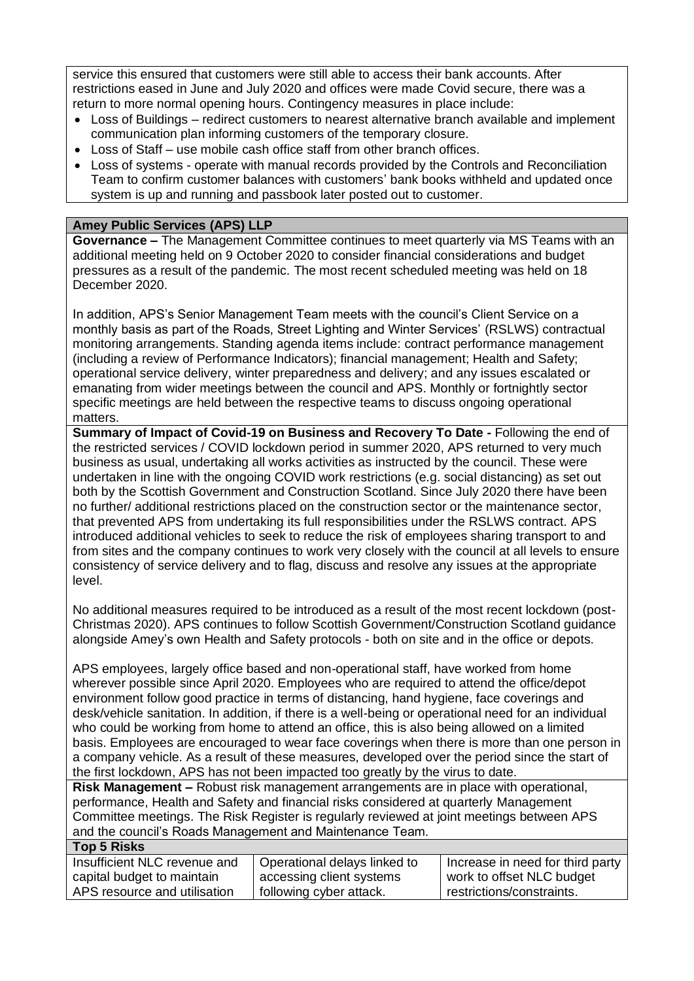service this ensured that customers were still able to access their bank accounts. After restrictions eased in June and July 2020 and offices were made Covid secure, there was a return to more normal opening hours. Contingency measures in place include:

- Loss of Buildings redirect customers to nearest alternative branch available and implement communication plan informing customers of the temporary closure.
- Loss of Staff use mobile cash office staff from other branch offices.
- Loss of systems operate with manual records provided by the Controls and Reconciliation Team to confirm customer balances with customers' bank books withheld and updated once system is up and running and passbook later posted out to customer.

#### **Amey Public Services (APS) LLP**

**Governance –** The Management Committee continues to meet quarterly via MS Teams with an additional meeting held on 9 October 2020 to consider financial considerations and budget pressures as a result of the pandemic. The most recent scheduled meeting was held on 18 December 2020.

In addition, APS's Senior Management Team meets with the council's Client Service on a monthly basis as part of the Roads, Street Lighting and Winter Services' (RSLWS) contractual monitoring arrangements. Standing agenda items include: contract performance management (including a review of Performance Indicators); financial management; Health and Safety; operational service delivery, winter preparedness and delivery; and any issues escalated or emanating from wider meetings between the council and APS. Monthly or fortnightly sector specific meetings are held between the respective teams to discuss ongoing operational matters.

**Summary of Impact of Covid-19 on Business and Recovery To Date -** Following the end of the restricted services / COVID lockdown period in summer 2020, APS returned to very much business as usual, undertaking all works activities as instructed by the council. These were undertaken in line with the ongoing COVID work restrictions (e.g. social distancing) as set out both by the Scottish Government and Construction Scotland. Since July 2020 there have been no further/ additional restrictions placed on the construction sector or the maintenance sector, that prevented APS from undertaking its full responsibilities under the RSLWS contract. APS introduced additional vehicles to seek to reduce the risk of employees sharing transport to and from sites and the company continues to work very closely with the council at all levels to ensure consistency of service delivery and to flag, discuss and resolve any issues at the appropriate level.

No additional measures required to be introduced as a result of the most recent lockdown (post-Christmas 2020). APS continues to follow Scottish Government/Construction Scotland guidance alongside Amey's own Health and Safety protocols - both on site and in the office or depots.

APS employees, largely office based and non-operational staff, have worked from home wherever possible since April 2020. Employees who are required to attend the office/depot environment follow good practice in terms of distancing, hand hygiene, face coverings and desk/vehicle sanitation. In addition, if there is a well-being or operational need for an individual who could be working from home to attend an office, this is also being allowed on a limited basis. Employees are encouraged to wear face coverings when there is more than one person in a company vehicle. As a result of these measures, developed over the period since the start of the first lockdown, APS has not been impacted too greatly by the virus to date.

**Risk Management –** Robust risk management arrangements are in place with operational, performance, Health and Safety and financial risks considered at quarterly Management Committee meetings. The Risk Register is regularly reviewed at joint meetings between APS and the council's Roads Management and Maintenance Team.

#### **Top 5 Risks**

| $\sim$ $\sim$ $\sim$ $\sim$ $\sim$ $\sim$ $\sim$ $\sim$ |                              |                                  |
|---------------------------------------------------------|------------------------------|----------------------------------|
| Insufficient NLC revenue and                            | Operational delays linked to | Increase in need for third party |
| capital budget to maintain                              | accessing client systems     | work to offset NLC budget        |
| APS resource and utilisation                            | following cyber attack.      | restrictions/constraints.        |
|                                                         |                              |                                  |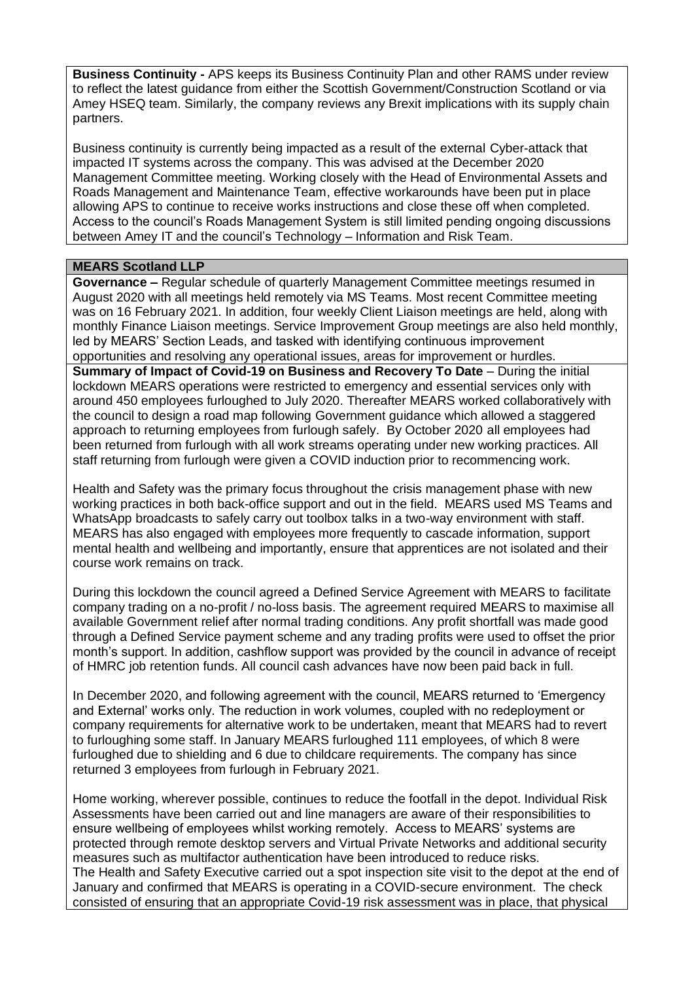**Business Continuity -** APS keeps its Business Continuity Plan and other RAMS under review to reflect the latest guidance from either the Scottish Government/Construction Scotland or via Amey HSEQ team. Similarly, the company reviews any Brexit implications with its supply chain partners.

Business continuity is currently being impacted as a result of the external Cyber-attack that impacted IT systems across the company. This was advised at the December 2020 Management Committee meeting. Working closely with the Head of Environmental Assets and Roads Management and Maintenance Team, effective workarounds have been put in place allowing APS to continue to receive works instructions and close these off when completed. Access to the council's Roads Management System is still limited pending ongoing discussions between Amey IT and the council's Technology – Information and Risk Team.

#### **MEARS Scotland LLP**

**Governance –** Regular schedule of quarterly Management Committee meetings resumed in August 2020 with all meetings held remotely via MS Teams. Most recent Committee meeting was on 16 February 2021. In addition, four weekly Client Liaison meetings are held, along with monthly Finance Liaison meetings. Service Improvement Group meetings are also held monthly, led by MEARS' Section Leads, and tasked with identifying continuous improvement opportunities and resolving any operational issues, areas for improvement or hurdles. **Summary of Impact of Covid-19 on Business and Recovery To Date** – During the initial lockdown MEARS operations were restricted to emergency and essential services only with around 450 employees furloughed to July 2020. Thereafter MEARS worked collaboratively with the council to design a road map following Government guidance which allowed a staggered approach to returning employees from furlough safely. By October 2020 all employees had been returned from furlough with all work streams operating under new working practices. All staff returning from furlough were given a COVID induction prior to recommencing work.

Health and Safety was the primary focus throughout the crisis management phase with new working practices in both back-office support and out in the field. MEARS used MS Teams and WhatsApp broadcasts to safely carry out toolbox talks in a two-way environment with staff. MEARS has also engaged with employees more frequently to cascade information, support mental health and wellbeing and importantly, ensure that apprentices are not isolated and their course work remains on track.

During this lockdown the council agreed a Defined Service Agreement with MEARS to facilitate company trading on a no-profit / no-loss basis. The agreement required MEARS to maximise all available Government relief after normal trading conditions. Any profit shortfall was made good through a Defined Service payment scheme and any trading profits were used to offset the prior month's support. In addition, cashflow support was provided by the council in advance of receipt of HMRC job retention funds. All council cash advances have now been paid back in full.

In December 2020, and following agreement with the council, MEARS returned to 'Emergency and External' works only. The reduction in work volumes, coupled with no redeployment or company requirements for alternative work to be undertaken, meant that MEARS had to revert to furloughing some staff. In January MEARS furloughed 111 employees, of which 8 were furloughed due to shielding and 6 due to childcare requirements. The company has since returned 3 employees from furlough in February 2021.

Home working, wherever possible, continues to reduce the footfall in the depot. Individual Risk Assessments have been carried out and line managers are aware of their responsibilities to ensure wellbeing of employees whilst working remotely. Access to MEARS' systems are protected through remote desktop servers and Virtual Private Networks and additional security measures such as multifactor authentication have been introduced to reduce risks. The Health and Safety Executive carried out a spot inspection site visit to the depot at the end of January and confirmed that MEARS is operating in a COVID-secure environment. The check consisted of ensuring that an appropriate Covid-19 risk assessment was in place, that physical